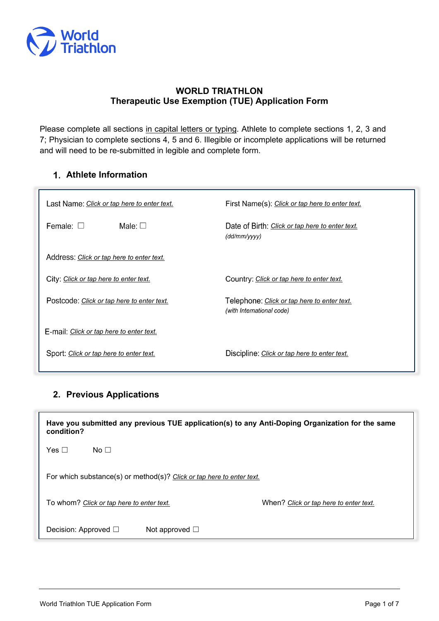

### **WORLD TRIATHLON Therapeutic Use Exemption (TUE) Application Form**

Please complete all sections in capital letters or typing. Athlete to complete sections 1, 2, 3 and 7; Physician to complete sections 4, 5 and 6. Illegible or incomplete applications will be returned and will need to be re-submitted in legible and complete form.

## **Athlete Information**

| Last Name: <u>Click or tap here to enter text.</u> | First Name(s): Click or tap here to enter text.                          |  |  |  |  |
|----------------------------------------------------|--------------------------------------------------------------------------|--|--|--|--|
| Female: $\square$<br>Male: $\Box$                  | Date of Birth: Click or tap here to enter text.<br>(dd/mm/yyy)           |  |  |  |  |
| Address: Click or tap here to enter text.          |                                                                          |  |  |  |  |
| City: Click or tap here to enter text.             | Country: Click or tap here to enter text.                                |  |  |  |  |
| Postcode: Click or tap here to enter text.         | Telephone: Click or tap here to enter text.<br>(with International code) |  |  |  |  |
| E-mail: Click or tap here to enter text.           |                                                                          |  |  |  |  |
| Sport: Click or tap here to enter text.            | Discipline: Click or tap here to enter text.                             |  |  |  |  |

# **2. Previous Applications**

**Have you submitted any previous TUE application(s) to any Anti-Doping Organization for the same condition?** 

 $Yes \Box$  No  $\Box$ 

For which substance(s) or method(s)? *Click or tap here to enter text.*

To whom? *Click or tap here to enter text.* When? *Click or tap here to enter text.*

Decision: Approved □ Not approved □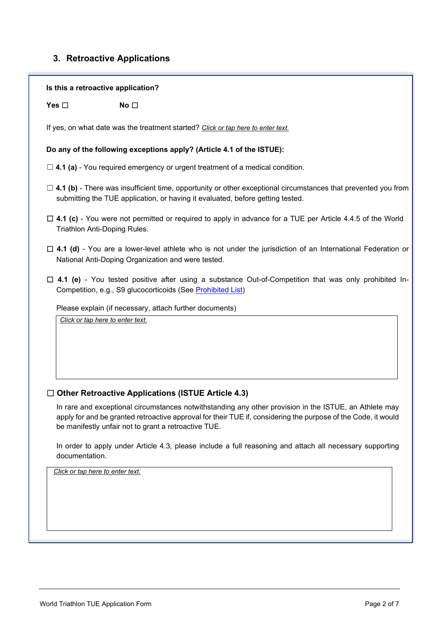# **3. Retroactive Applications**

|                                  | Is this a retroactive application?                                                                                                                                                                                                                                                                                                           |
|----------------------------------|----------------------------------------------------------------------------------------------------------------------------------------------------------------------------------------------------------------------------------------------------------------------------------------------------------------------------------------------|
| Yes $\square$                    | No $\square$                                                                                                                                                                                                                                                                                                                                 |
|                                  | If yes, on what date was the treatment started? Click or tap here to enter text.                                                                                                                                                                                                                                                             |
|                                  | Do any of the following exceptions apply? (Article 4.1 of the ISTUE):                                                                                                                                                                                                                                                                        |
|                                  | $\Box$ 4.1 (a) - You required emergency or urgent treatment of a medical condition.                                                                                                                                                                                                                                                          |
|                                  | $\Box$ 4.1 (b) - There was insufficient time, opportunity or other exceptional circumstances that prevented you from<br>submitting the TUE application, or having it evaluated, before getting tested.                                                                                                                                       |
|                                  | $\Box$ 4.1 (c) - You were not permitted or required to apply in advance for a TUE per Article 4.4.5 of the World<br>Triathlon Anti-Doping Rules.                                                                                                                                                                                             |
|                                  | $\Box$ 4.1 (d) - You are a lower-level athlete who is not under the jurisdiction of an International Federation or<br>National Anti-Doping Organization and were tested.                                                                                                                                                                     |
|                                  | $\Box$ 4.1 (e) - You tested positive after using a substance Out-of-Competition that was only prohibited In-<br>Competition, e.g., S9 glucocorticoids (See Prohibited List)                                                                                                                                                                  |
|                                  | Please explain (if necessary, attach further documents)                                                                                                                                                                                                                                                                                      |
|                                  | Click or tap here to enter text.                                                                                                                                                                                                                                                                                                             |
|                                  |                                                                                                                                                                                                                                                                                                                                              |
|                                  | $\Box$ Other Retroactive Applications (ISTUE Article 4.3)<br>In rare and exceptional circumstances notwithstanding any other provision in the ISTUE, an Athlete may<br>apply for and be granted retroactive approval for their TUE if, considering the purpose of the Code, it would<br>be manifestly unfair not to grant a retroactive TUE. |
| documentation.                   | In order to apply under Article 4.3, please include a full reasoning and attach all necessary supporting                                                                                                                                                                                                                                     |
| Click or tap here to enter text. |                                                                                                                                                                                                                                                                                                                                              |
|                                  |                                                                                                                                                                                                                                                                                                                                              |
|                                  |                                                                                                                                                                                                                                                                                                                                              |
|                                  |                                                                                                                                                                                                                                                                                                                                              |
|                                  |                                                                                                                                                                                                                                                                                                                                              |

٦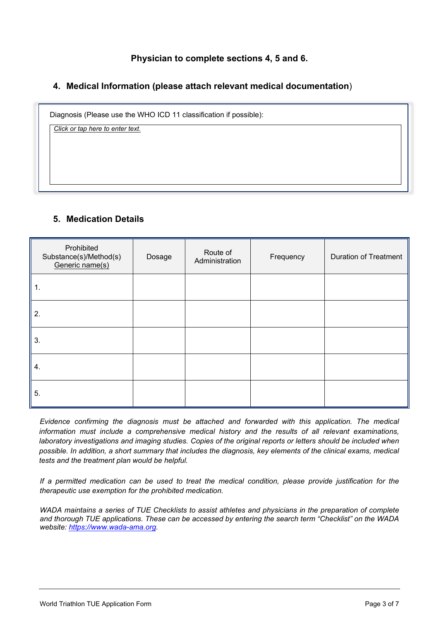### **Physician to complete sections 4, 5 and 6.**

### **4. Medical Information (please attach relevant medical documentation**)

Diagnosis (Please use the WHO ICD 11 classification if possible):

*Click or tap here to enter text.*

### **5. Medication Details**

| Prohibited<br>Substance(s)/Method(s)<br>Generic name(s) | Dosage | Route of<br>Administration | Frequency | <b>Duration of Treatment</b> |
|---------------------------------------------------------|--------|----------------------------|-----------|------------------------------|
| 1.                                                      |        |                            |           |                              |
| 2.                                                      |        |                            |           |                              |
| 3.                                                      |        |                            |           |                              |
| 4.                                                      |        |                            |           |                              |
| 5.                                                      |        |                            |           |                              |

*Evidence confirming the diagnosis must be attached and forwarded with this application. The medical information must include a comprehensive medical history and the results of all relevant examinations, laboratory investigations and imaging studies. Copies of the original reports or letters should be included when possible. In addition, a short summary that includes the diagnosis, key elements of the clinical exams, medical tests and the treatment plan would be helpful.*

*If a permitted medication can be used to treat the medical condition, please provide justification for the therapeutic use exemption for the prohibited medication.*

*WADA maintains a series of TUE Checklists to assist athletes and physicians in the preparation of complete and thorough TUE applications. These can be accessed by entering the search term "Checklist" on the WADA website: [https://www.wada-ama.org.](https://www.wada-ama.org/)*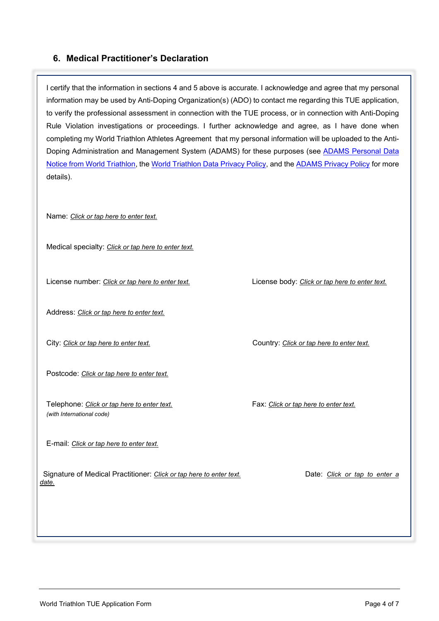### **6. Medical Practitioner's Declaration**

I certify that the information in sections 4 and 5 above is accurate. I acknowledge and agree that my personal information may be used by Anti-Doping Organization(s) (ADO) to contact me regarding this TUE application, to verify the professional assessment in connection with the TUE process, or in connection with Anti-Doping Rule Violation investigations or proceedings. I further acknowledge and agree, as I have done when completing my World Triathlon Athletes Agreement that my personal information will be uploaded to the Anti-Doping Administration and Management System (ADAMS) for these purposes (see [ADAMS Personal Data](https://www.triathlon.org/uploads/docs/ADAMS_and_World_Triathlon_Athletes-final.pdf)  [Notice from World Triathlon,](https://www.triathlon.org/uploads/docs/ADAMS_and_World_Triathlon_Athletes-final.pdf) the [World Triathlon Data Privacy Policy,](https://www.triathlon.org/uploads/docs/World_Triathlon_Data_Privacy_Policy-final.pdf) and th[e ADAMS Privacy Policy](https://adams-help.wada-ama.org/hc/en-us/articles/360012071820-ADAMS-Privacy-Policy) for more details).

Name: *Click or tap here to enter text.*

Medical specialty: *Click or tap here to enter text.*

License number: *Click or tap here to enter text.* License body: *Click or tap here to enter text.*

Address: *Click or tap here to enter text.*

Postcode: *Click or tap here to enter text.*

Telephone: *Click or tap here to enter text.* Fax: *Click or tap here to enter text. (with International code)*

E-mail: *Click or tap here to enter text.*

Signature of Medical Practitioner: *Click or tap here to enter text.* Date: *Click or tap to enter a date.*

City: *Click or tap here to enter text.* Country: *Click or tap here to enter text.*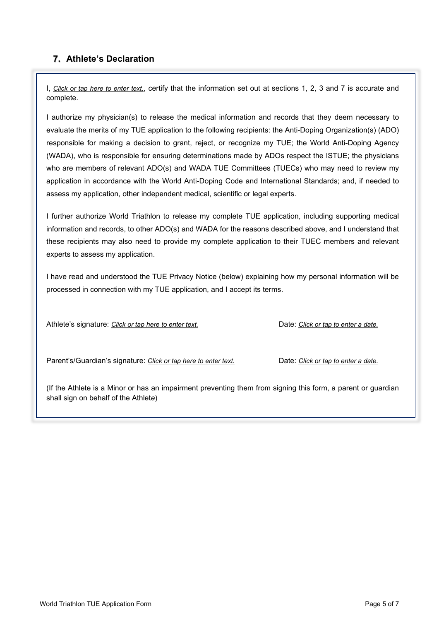### **7. Athlete's Declaration**

I, *Click or tap here to enter text.*, certify that the information set out at sections 1, 2, 3 and 7 is accurate and complete.

I authorize my physician(s) to release the medical information and records that they deem necessary to evaluate the merits of my TUE application to the following recipients: the Anti-Doping Organization(s) (ADO) responsible for making a decision to grant, reject, or recognize my TUE; the World Anti-Doping Agency (WADA), who is responsible for ensuring determinations made by ADOs respect the ISTUE; the physicians who are members of relevant ADO(s) and WADA TUE Committees (TUECs) who may need to review my application in accordance with the World Anti-Doping Code and International Standards; and, if needed to assess my application, other independent medical, scientific or legal experts.

I further authorize World Triathlon to release my complete TUE application, including supporting medical information and records, to other ADO(s) and WADA for the reasons described above, and I understand that these recipients may also need to provide my complete application to their TUEC members and relevant experts to assess my application.

I have read and understood the TUE Privacy Notice (below) explaining how my personal information will be processed in connection with my TUE application, and I accept its terms.

Athlete's signature: *Click or tap here to enter text.* Date: *Click or tap to enter a date.*

Parent's/Guardian's signature: *Click or tap here to enter text.* Date: *Click or tap to enter a date.*

(If the Athlete is a Minor or has an impairment preventing them from signing this form, a parent or guardian shall sign on behalf of the Athlet*e*)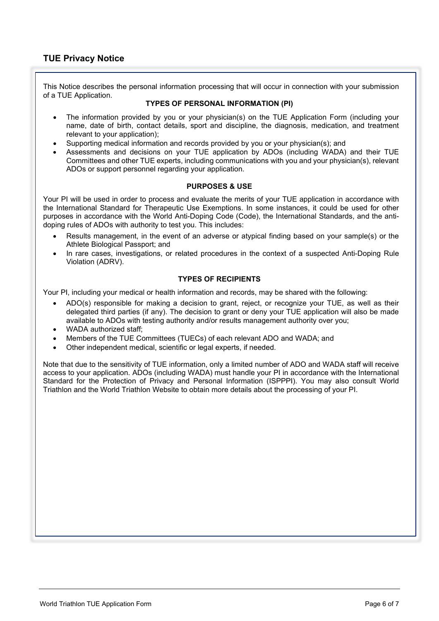This Notice describes the personal information processing that will occur in connection with your submission of a TUE Application.

#### **TYPES OF PERSONAL INFORMATION (PI)**

- The information provided by you or your physician(s) on the TUE Application Form (including your name, date of birth, contact details, sport and discipline, the diagnosis, medication, and treatment relevant to your application);
- Supporting medical information and records provided by you or your physician(s); and
- Assessments and decisions on your TUE application by ADOs (including WADA) and their TUE Committees and other TUE experts, including communications with you and your physician(s), relevant ADOs or support personnel regarding your application.

#### **PURPOSES & USE**

Your PI will be used in order to process and evaluate the merits of your TUE application in accordance with the International Standard for Therapeutic Use Exemptions. In some instances, it could be used for other purposes in accordance with the World Anti-Doping Code (Code), the International Standards, and the antidoping rules of ADOs with authority to test you. This includes:

- Results management, in the event of an adverse or atypical finding based on your sample(s) or the Athlete Biological Passport; and
- In rare cases, investigations, or related procedures in the context of a suspected Anti-Doping Rule Violation (ADRV).

#### **TYPES OF RECIPIENTS**

Your PI, including your medical or health information and records, may be shared with the following:

- ADO(s) responsible for making a decision to grant, reject, or recognize your TUE, as well as their delegated third parties (if any). The decision to grant or deny your TUE application will also be made available to ADOs with testing authority and/or results management authority over you;
- WADA authorized staff<sup>c</sup>
- Members of the TUE Committees (TUECs) of each relevant ADO and WADA; and
- Other independent medical, scientific or legal experts, if needed.

Note that due to the sensitivity of TUE information, only a limited number of ADO and WADA staff will receive access to your application. ADOs (including WADA) must handle your PI in accordance with the International Standard for the Protection of Privacy and Personal Information (ISPPPI). You may also consult World Triathlon and the World Triathlon Website to obtain more details about the processing of your PI.